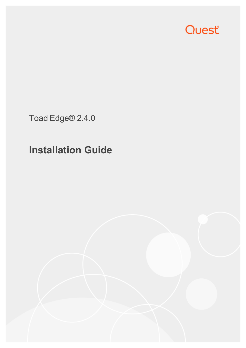

Toad Edge® 2.4.0

# **Installation Guide**

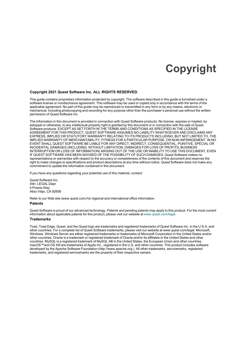### **Copyright**

#### <span id="page-1-0"></span>**Copyright 2021 Quest Software Inc. ALL RIGHTS RESERVED.**

This guide contains proprietary information protected by copyright. The software described in this guide is furnished under a software license or nondisclosure agreement. This software may be used or copied only in accordance with the terms of the applicable agreement. No part of this guide may be reproduced or transmitted in any form or by any means, electronic or mechanical, including photocopying and recording for any purpose other than the purchaser's personal use without the written permission of Quest Software Inc.

The information in this document is provided in connection with Quest Software products. No license, express or implied, by estoppel or otherwise, to any intellectual property right is granted by this document or in connection with the sale of Quest Software products. EXCEPT AS SET FORTH IN THE TERMS AND CONDITIONS AS SPECIFIED IN THE LICENSE AGREEMENT FOR THIS PRODUCT, QUEST SOFTWARE ASSUMES NO LIABILITY WHATSOEVER AND DISCLAIMS ANY EXPRESS, IMPLIED OR STATUTORY WARRANTY RELATING TO ITS PRODUCTS INCLUDING, BUT NOT LIMITED TO, THE IMPLIED WARRANTY OF MERCHANTABILITY, FITNESS FOR A PARTICULAR PURPOSE, OR NON-INFRINGEMENT. IN NO EVENT SHALL QUEST SOFTWARE BE LIABLE FOR ANY DIRECT, INDIRECT, CONSEQUENTIAL, PUNITIVE, SPECIAL OR INCIDENTAL DAMAGES (INCLUDING, WITHOUT LIMITATION, DAMAGES FOR LOSS OF PROFITS, BUSINESS INTERRUPTION OR LOSS OF INFORMATION) ARISING OUT OF THE USE OR INABILITY TO USE THIS DOCUMENT, EVEN IF QUEST SOFTWARE HAS BEEN ADVISED OF THE POSSIBILITY OF SUCH DAMAGES. Quest Software makes no representations or warranties with respect to the accuracy or completeness of the contents of this document and reserves the right to make changes to specifications and product descriptions at any time without notice. Quest Software does not make any commitment to update the information contained in this document.

If you have any questions regarding your potential use of this material, contact:

Quest Software Inc. Attn: LEGAL Dept 4 Polaris Way Aliso Viejo, CA 92656

Refer to our Web site (www.quest.com) for regional and international office information.

#### **Patents**

Quest Software is proud of our advanced technology. Patents and pending patents may apply to this product. For the most current information about applicable patents for this product, please visit our website at [www.quest.com/legal](http://www.quest.com/legal).

#### **Trademarks**

Toad, Toad Edge, Quest, and the Quest logo are trademarks and registered trademarks of Quest Software Inc. in the U.S.A. and other countries. For a complete list of Quest Software trademarks, please visit our website at www.quest.com/legal. Microsoft, Windows, Windows Server are either registered trademarks or trademarks of Microsoft Corporation in the United States and/or other countries. Oracle is a trademark or registered trademark of Oracle and/or its affiliates in the United States and other countries. MySQL is a registered trademark of MySQL AB in the United States, the European Union and other countries. macOS™and OS X® are trademarks of Apple Inc., registered in the U.S. and other countries. This product includes software developed by the Apache Software Foundation (http://www.apache.org.). All other trademarks, servicemarks, registered trademarks, and registered servicemarks are the property of their respective owners.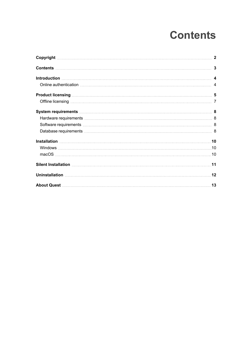# **Contents**

<span id="page-2-0"></span>

| <b>Product licensing with the contract of the contract of the contract of the contract of the contract of the contract of the contract of the contract of the contract of the contract of the contract of the contract of the co</b> |  |
|--------------------------------------------------------------------------------------------------------------------------------------------------------------------------------------------------------------------------------------|--|
|                                                                                                                                                                                                                                      |  |
|                                                                                                                                                                                                                                      |  |
|                                                                                                                                                                                                                                      |  |
|                                                                                                                                                                                                                                      |  |
|                                                                                                                                                                                                                                      |  |
|                                                                                                                                                                                                                                      |  |
|                                                                                                                                                                                                                                      |  |
|                                                                                                                                                                                                                                      |  |
|                                                                                                                                                                                                                                      |  |
|                                                                                                                                                                                                                                      |  |
|                                                                                                                                                                                                                                      |  |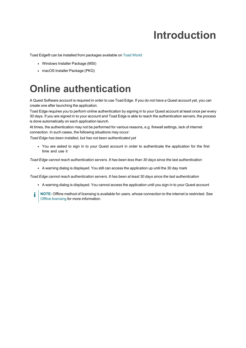# **Introduction**

<span id="page-3-0"></span>Toad Edge® can be installed from packages available on Toad [World](https://www.toadworld.com/products/toad-edge/)

- Windows Installer Package (MSI)
- <span id="page-3-1"></span>• macOS Installer Package (PKG)

### **Online authentication**

A Quest Software account is required in order to use Toad Edge. If you do not have a Quest account yet, you can create one after launching the application.

Toad Edge requires you to perform online authentication by signing in to your Quest account at least once per every 30 days. If you are signed in to your account and Toad Edge is able to reach the authentication servers, the process is done automatically on each application launch.

At times, the authentication may not be performed for various reasons, e.g. firewall settings, lack of internet connection. In such cases, the following situations may occur:

*Toad Edge has been installed, but has not been authenticated yet*

• You are asked to sign in to your Quest account in order to authenticate the application for the first time and use it

Toad Edge cannot reach authentication servers. It has been less than 30 days since the last authentication

• A warning dialog is displayed. You still can access the application up until the 30 day mark

*Toad Edge cannot reach authentication servers. It has been at least 30 days since the last authentication*

- A warning dialog is displayed. You cannot access the application until you sign in to your Quest account
- **NOTE:** Offline method of licensing is available for users, whose connection to the internet is restricted. See Offline [licensing](#page-6-0) for more information.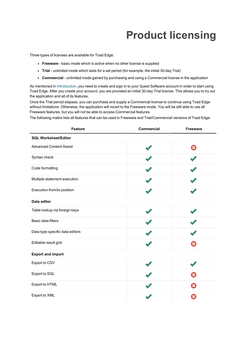# **Product licensing**

<span id="page-4-0"></span>Three types of licenses are available for Toad Edge:

- **Freeware** basic mode which is active when no other license is supplied
- Trial unlimited mode which lasts for a set period (for example, the initial 30-day Trial)
- **Commercial** unlimited mode gained by purchasing and using a Commercial license in the application

As mentioned in [Introduction,](#page-3-0) you need to create and sign in to your Quest Software account in order to start using Toad Edge. After you create your account, you are provided an initial 30-day Trial license. This allows you to try out the application and all of its features.

Once the Trial period elapses, you can purchase and supply a Commercial license to continue using Toad Edge without limitations. Otherwise, the application will revert to the Freeware mode. You will be still able to use all Freeware features, but you will not be able to access Commercial features.

The following matrix lists all features that can be used in Freeware and Trial/Commercial versions of Toad Edge.

| <b>Feature</b>                  | <b>Commercial</b> | Freeware |
|---------------------------------|-------------------|----------|
| <b>SQL Worksheet/Editor</b>     |                   |          |
| <b>Advanced Content Assist</b>  |                   | Ω        |
| Syntax check                    |                   |          |
| Code formatting                 |                   |          |
| Multiple statement execution    |                   |          |
| Execution from/to position      |                   |          |
| Data editor                     |                   |          |
| Table lookup via foreign keys   |                   |          |
| <b>Basic data filters</b>       |                   |          |
| Data type specific data editors |                   |          |
| Editable result grid            |                   |          |
| <b>Export and import</b>        |                   |          |
| Export to CSV                   |                   |          |
| Export to SQL                   |                   |          |
| Export to HTML                  |                   |          |
| Export to XML                   |                   |          |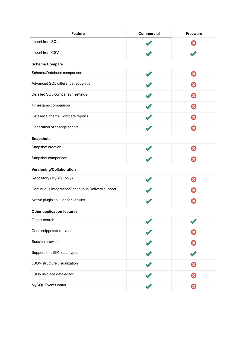| <b>Feature</b>                                     | Commercial | Freeware |
|----------------------------------------------------|------------|----------|
| Import from SQL                                    |            | ×        |
| Import from CSV                                    |            |          |
| <b>Schema Compare</b>                              |            |          |
| Schema/Database comparison                         |            | Ω        |
| Advanced SQL difference recognition                |            | ×        |
| Detailed SQL comparison settings                   |            | x        |
| Timestamp comparison                               |            | x        |
| Detailed Schema Compare reports                    |            | ×        |
| Generation of change scripts                       |            | ×        |
| <b>Snapshots</b>                                   |            |          |
| Snapshot creation                                  |            | x        |
| Snapshot comparison                                |            | ×        |
| Versioning/Collaboration                           |            |          |
| Repository (MySQL only)                            |            | ఴ        |
| Continuous Integration/Continuous Delivery support |            | ×        |
| Native plugin solution for Jenkins                 |            |          |
| <b>Other application features</b>                  |            |          |
| Object search                                      |            |          |
| Code snippets/templates                            |            |          |
| Session browser                                    |            |          |
| Support for JSON data types                        |            |          |
| JSON structure visualization                       |            |          |
| JSON in-place data editor                          |            |          |
| MySQL Events editor                                |            | ×        |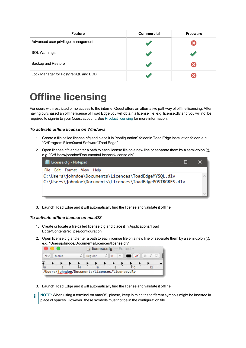| <b>Feature</b>                      | <b>Commercial</b> | <b>Freeware</b> |
|-------------------------------------|-------------------|-----------------|
| Advanced user privilege management  |                   |                 |
| <b>SQL Warnings</b>                 |                   |                 |
| <b>Backup and Restore</b>           |                   |                 |
| Lock Manager for PostgreSQL and EDB |                   |                 |

### <span id="page-6-0"></span>**Offline licensing**

For users with restricted or no access to the internet Quest offers an alternative pathway of offline licensing. After having purchased an offline license of Toad Edge you will obtain a license file, e.g. license.dlv and you will not be required to sign-in to your Quest account. See Product [licensing](#page-4-0) for more information.

#### *To activate offline license on Windows*

- 1. Create a file called license.cfg and place it in "configuration" folder in Toad Edge installation folder, e.g. "C:\Program Files\Quest Software\Toad Edge"
- 2. Open license.cfg and enter a path to each license file on a new line or separate them by a semi-colon (;), e.g. "C:\Users\johndoe\Documents\Licences\license.dlv".



3. Launch Toad Edge and it will automatically find the license and validate it offline

#### *To activate offline license on macOS*

- 1. Create or locate a file called license.cfg and place it in Applications/Toad Edge/Contents/eclipse/configuration
- 2. Open license.cfg and enter a path to each license file on a new line or separate them by a semi-colon (;), e.g. "Users/johndoe/Documents/Licences/license.dlv"



- 3. Launch Toad Edge and it will automatically find the license and validate it offline
- i **NOTE:** When using a terminal on macOS, please, keep in mind that different symbols might be inserted in place of spaces. However, these symbols must not be in the configuration file.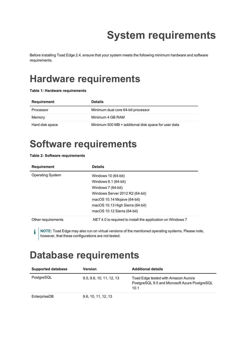# **System requirements**

<span id="page-7-1"></span><span id="page-7-0"></span>Before installing Toad Edge 2.4, ensure that your system meets the following minimum hardware and software requirements.

## **Hardware requirements**

#### **Table 1: Hardware requirements**

| Requirement     | <b>Details</b>                                       |
|-----------------|------------------------------------------------------|
| Processor       | Minimum dual core 64-bit processor                   |
| Memory          | Minimum 4 GB RAM                                     |
| Hard disk space | Minimum 500 MB + additional disk space for user data |

## <span id="page-7-2"></span>**Software requirements**

#### **Table 2: Software requirements**

| <b>Requirement</b>      | <b>Details</b>                                                   |  |
|-------------------------|------------------------------------------------------------------|--|
| <b>Operating System</b> | Windows 10 (64-bit)<br>Windows 8.1 (64-bit)                      |  |
|                         | Windows 7 (64-bit)                                               |  |
|                         | Windows Server 2012 R2 (64-bit)<br>macOS $10.14$ Mojave (64-bit) |  |
|                         | macOS 10.13 High Sierra (64-bit)                                 |  |
|                         | macOS $10.12$ Sierra (64-bit)                                    |  |
| Other requirements      | NET 4.0 is required to install the application on Windows 7      |  |

**NOTE:** Toad Edge may also run on virtual versions of the mentioned operating systems. Please note, however, that these configurations are not tested.

### <span id="page-7-3"></span>**Database requirements**

| <b>Supported database</b> | <b>Version</b>           | <b>Additional details</b>                                                                    |
|---------------------------|--------------------------|----------------------------------------------------------------------------------------------|
| PostgreSQL                | 9.5, 9.6, 10, 11, 12, 13 | Toad Edge tested with Amazon Aurora<br>PostgreSQL 9.5 and Microsoft Azure PostgreSQL<br>10.1 |
| EnterpriseDB              | 9.6, 10, 11, 12, 13      |                                                                                              |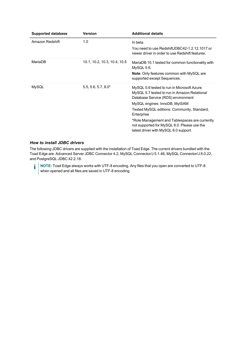| <b>Supported database</b> | <b>Version</b>               | <b>Additional details</b>                                                                                                                                                                                                                                                                                                                                                 |
|---------------------------|------------------------------|---------------------------------------------------------------------------------------------------------------------------------------------------------------------------------------------------------------------------------------------------------------------------------------------------------------------------------------------------------------------------|
| Amazon Redshift           | 1.0                          | In beta.<br>You need to use RedshiftJDBC42-1.2.12.1017 or<br>newer driver in order to use Redshift features.                                                                                                                                                                                                                                                              |
| MariaDB                   | 10.1, 10.2, 10.3, 10.4, 10.5 | MariaDB 10.1 tested for common functionality with<br>MySQL 5.6.<br><b>Note:</b> Only features common with MySQL are<br>supported except Sequences.                                                                                                                                                                                                                        |
| MySQL                     | $5.5, 5.6, 5.7, 8.0*$        | MySQL 5.6 tested to run in Microsoft Azure.<br>MySQL 5.7 tested to run in Amazon Relational<br>Database Service (RDS) environment<br>MySQL engines: InnoDB, MyISAM<br>Tested MySQL editions: Community, Standard,<br>Enterprise<br>*Role Management and Tablespaces are currently<br>not supported for MySQL 8.0. Please use the<br>latest driver with MySQL 8.0 support. |

#### *How to install JDBC drivers*

The following JDBC drivers are supplied with the installation of Toad Edge. The current drivers bundled with the Toad Edge are Advanced Server JDBC Connector 4.2, MySQL Connector/J 5.1.46, MySQL Connector/J 8.0.22, and PostgreSQL JDBC 42.2.18.

**NOTE:** Toad Edge always works with UTF-8 encoding. Any files that you open are converted to UTF-8 when opened and all files are saved in UTF-8 encoding.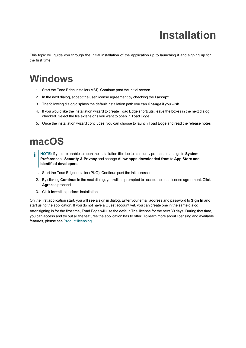# **Installation**

<span id="page-9-1"></span><span id="page-9-0"></span>This topic will guide you through the initial installation of the application up to launching it and signing up for the first time.

### **Windows**

- 1. Start the Toad Edge installer (MSI). Continue past the initial screen
- 2. In the next dialog, accept the user license agreement by checking the **I accept...**
- 3. The following dialog displays the default installation path you can **Change** if you wish
- 4. If you would like the installation wizard to create Toad Edge shortcuts, leave the boxes in the next dialog checked. Select the file extensions you want to open in Toad Edge.
- <span id="page-9-2"></span>5. Once the installation wizard concludes, you can choose to launch Toad Edge and read the release notes

### **macOS**

- i **NOTE:** If you are unable to open the installation file due to a security prompt, please go to **System Preferences** | **Security & Privacy** and change **Allow apps downloaded from** to **App Store and identified developers**
- 1. Start the Toad Edge installer (PKG). Continue past the initial screen
- 2. By clicking **Continue** in the next dialog, you will be prompted to accept the user license agreement. Click **Agree** to proceed
- 3. Click **Install** to perform installation

On the first application start, you will see a sign in dialog. Enter your email address and password to **Sign In** and start using the application. If you do not have a Quest account yet, you can create one in the same dialog. After signing in for the first time, Toad Edge will use the default Trial license for the next 30 days. During that time, you can access and try out all the features the application has to offer. To learn more about licensing and available features, please see Product [licensing](#page-4-0).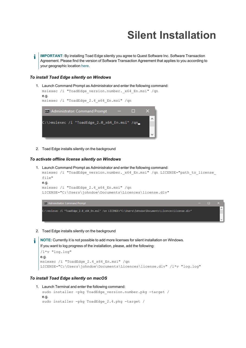# **Silent Installation**

<span id="page-10-0"></span>**IMPORTANT:** By installing Toad Edge silently you agree to Quest Software Inc. Software Transaction i Agreement. Please find the version of Software Transaction Agreement that applies to you according to your geographic location [here.](https://www.quest.com/legal/sta.aspx)

#### *To install Toad Edge silently on Windows*

```
1. Launch Command Prompt as Administrator and enter the following command:
  msiexec /i "ToadEdge_version.number._x64_En.msi" /qn
  e.g.
  msiexec /i "ToadEdge_2.4_x64_En.msi" /qn
    Cox Administrator: Command Prompt
                                                \BoxC:\>msiexec /i "ToadEdge_2.0_x64_En.msi" /qn_
```
2. Toad Edge installs silently on the background

#### *To activate offline license silently on Windows*

```
1. Launch Command Prompt as Administrator and enter the following command:
  msiexec /i "ToadEdge version.number. x64 En.msi" /qn LICENSE="path to license
  file"
  e.g.
  msiexec /i "ToadEdge_2.4_x64_En.msi" /qn
  LICENSE="C:\Users\johndoe\Documents\Licences\license.dlv"
   ex. Administrator: Command Prompt
```
2. Toad Edge installs silently on the background

```
NOTE: Currently it is not possible to add more licenses for silent installation on Windows.
If you want to log progress of the installation, please, add the following:
/l*v "log.log"
e.g.
msiexec /i "ToadEdge_2.4_x64_En.msi" /qn
LICENSE="C:\Users\johndoe\Documents\Licences\license.dlv" /l*v "log.log"
```
.<br>C:\>msiexec /i "ToadEdge\_2.0\_x64\_En.msi" /qn LICENSE="C:\Users\johndoe\Documents\Licences\license.dlv"

#### *To install Toad Edge silently on macOS*

f

```
1. Launch Terminal and enter the following command:
  sudo installer -pkg ToadEdge version.number.pkg -target /
  e.g.
  sudo installer -pkg ToadEdge_2.4.pkg -target /
```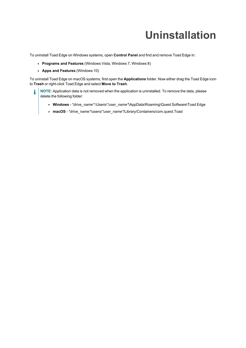# **Uninstallation**

<span id="page-11-0"></span>To uninstall Toad Edge on Windows systems, open **Control Panel** and find and remove Toad Edge in:

- <sup>l</sup> **Programs and Features** (Windows Vista, Windows 7, Windows 8)
- <sup>l</sup> **Apps and Features** (Windows 10)

To uninstall Toad Edge on macOS systems, first open the **Applications** folder. Now either drag the Toad Edge icon to **Trash** or right-click Toad Edge and select **Move to Trash**.

- **NOTE:** Application data is not removed when the application is uninstalled. To remove the data, please i delete the following folder:
	- <sup>l</sup> **Windows** *\*drive\_name\**:\Users\*\*user\_name\**\AppData\Roaming\Quest Software\Toad Edge
	- <sup>l</sup> **macOS** *\*drive\_name\**/users/*\*user\_name\**/Library/Containers/com.quest.Toad